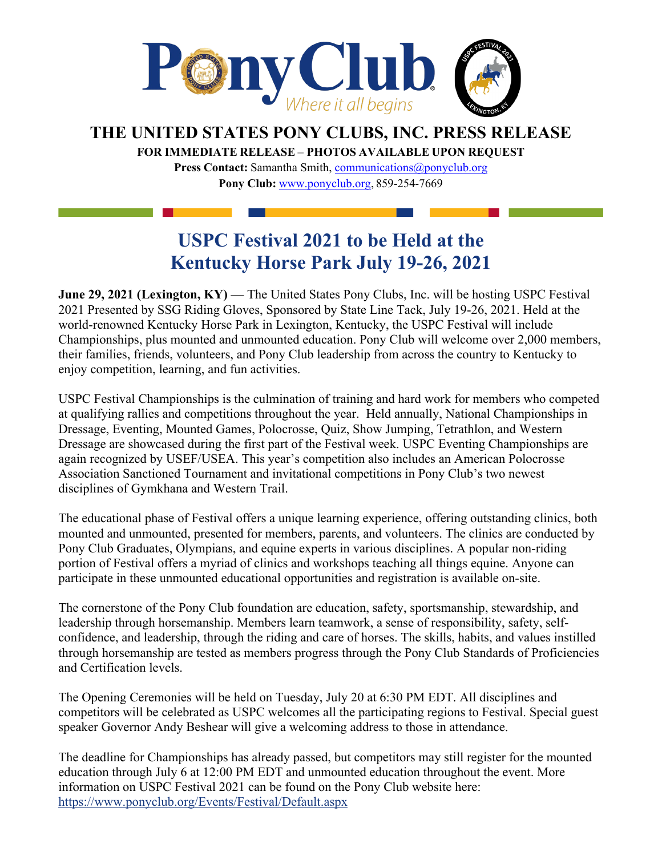

## **THE UNITED STATES PONY CLUBS, INC. PRESS RELEASE**

**FOR IMMEDIATE RELEASE** – **PHOTOS AVAILABLE UPON REQUEST** 

**Press Contact:** Samantha Smith, [communications@ponyclub.org](mailto:communications@ponyclub.org) **Pony Club:** [www.ponyclub.org,](http://www.ponyclub.org/) 859-254-7669

## **USPC Festival 2021 to be Held at the Kentucky Horse Park July 19-26, 2021**

**June 29, 2021 (Lexington, KY)** — The United States Pony Clubs, Inc. will be hosting USPC Festival 2021 Presented by SSG Riding Gloves, Sponsored by State Line Tack, July 19-26, 2021. Held at the world-renowned Kentucky Horse Park in Lexington, Kentucky, the USPC Festival will include Championships, plus mounted and unmounted education. Pony Club will welcome over 2,000 members, their families, friends, volunteers, and Pony Club leadership from across the country to Kentucky to enjoy competition, learning, and fun activities.

USPC Festival Championships is the culmination of training and hard work for members who competed at qualifying rallies and competitions throughout the year. Held annually, National Championships in Dressage, Eventing, Mounted Games, Polocrosse, Quiz, Show Jumping, Tetrathlon, and Western Dressage are showcased during the first part of the Festival week. USPC Eventing Championships are again recognized by USEF/USEA. This year's competition also includes an American Polocrosse Association Sanctioned Tournament and invitational competitions in Pony Club's two newest disciplines of Gymkhana and Western Trail.

The educational phase of Festival offers a unique learning experience, offering outstanding clinics, both mounted and unmounted, presented for members, parents, and volunteers. The clinics are conducted by Pony Club Graduates, Olympians, and equine experts in various disciplines. A popular non-riding portion of Festival offers a myriad of clinics and workshops teaching all things equine. Anyone can participate in these unmounted educational opportunities and registration is available on-site.

The cornerstone of the Pony Club foundation are education, safety, sportsmanship, stewardship, and leadership through horsemanship. Members learn teamwork, a sense of responsibility, safety, selfconfidence, and leadership, through the riding and care of horses. The skills, habits, and values instilled through horsemanship are tested as members progress through the Pony Club Standards of Proficiencies and Certification levels.

The Opening Ceremonies will be held on Tuesday, July 20 at 6:30 PM EDT. All disciplines and competitors will be celebrated as USPC welcomes all the participating regions to Festival. Special guest speaker Governor Andy Beshear will give a welcoming address to those in attendance.

The deadline for Championships has already passed, but competitors may still register for the mounted education through July 6 at 12:00 PM EDT and unmounted education throughout the event. More information on USPC Festival 2021 can be found on the Pony Club website here: <https://www.ponyclub.org/Events/Festival/Default.aspx>